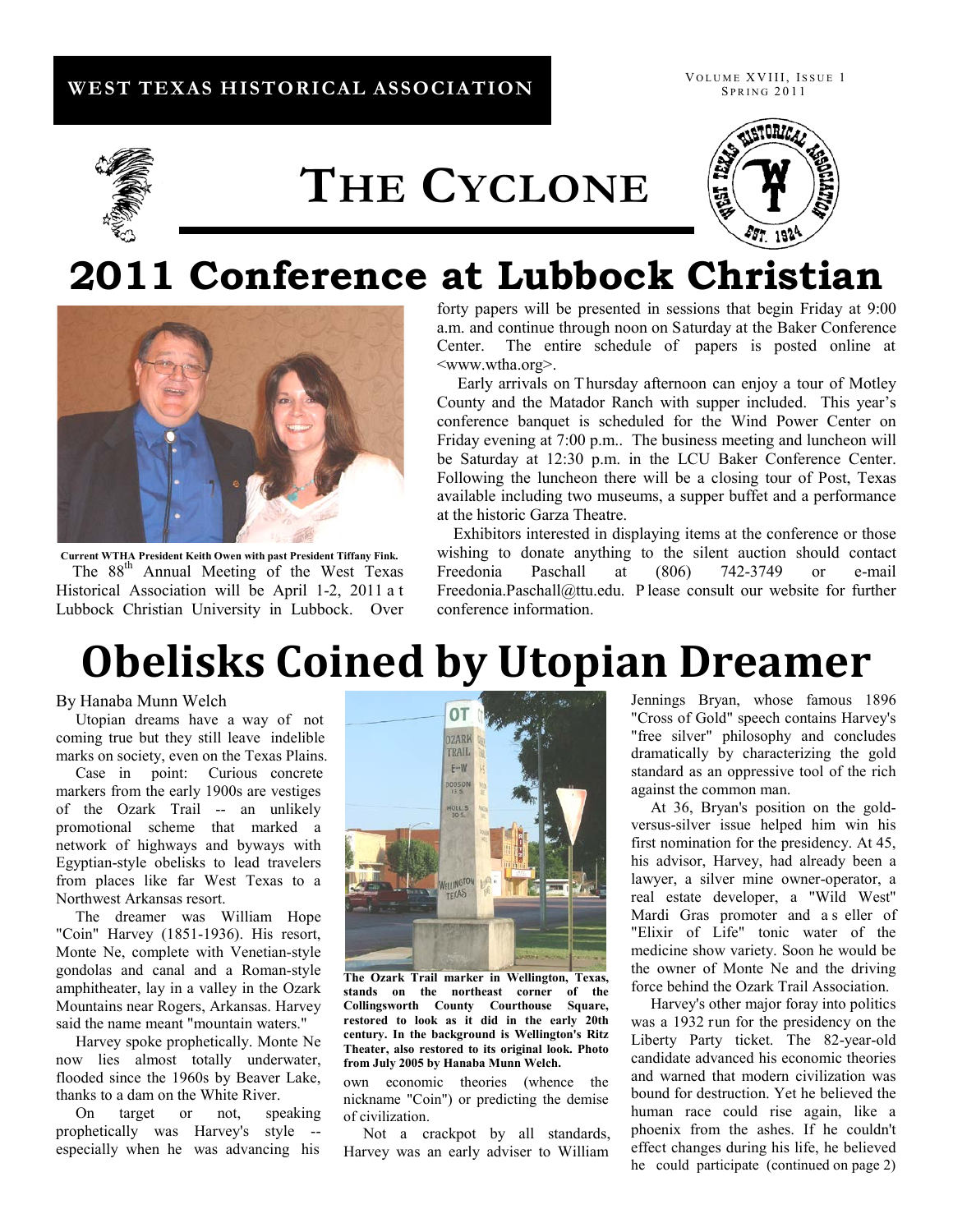### **WEST TEXAS HISTORICAL ASSOCIATION**

VOLUME XVIII, ISSUE 1 **SPRING 2011** 



# **THE CYCLONE**



### **2011 Conference at Lubbock Christian**



**Current WTHA President Keith Owen with past President Tiffany Fink.** 

The 88<sup>th</sup> Annual Meeting of the West Texas Historical Association will be April 1-2, 2011 a t Lubbock Christian University in Lubbock. Over

forty papers will be presented in sessions that begin Friday at 9:00 a.m. and continue through noon on Saturday at the Baker Conference Center. The entire schedule of papers is posted online at [<www.wtha.org>](http://www.wtha.org/).

 Early arrivals on Thursday afternoon can enjoy a tour of Motley County and the Matador Ranch with supper included. This year's conference banquet is scheduled for the Wind Power Center on Friday evening at 7:00 p.m.. The business meeting and luncheon will be Saturday at 12:30 p.m. in the LCU Baker Conference Center. Following the luncheon there will be a closing tour of Post, Texas available including two museums, a supper buffet and a performance at the historic Garza Theatre.

 Exhibitors interested in displaying items at the conference or those wishing to donate anything to the silent auction should contact Freedonia Paschall at (806) 742-3749 or e-mail Freedonia.Paschall@ttu.edu. P lease consult our website for further conference information.

# **Obelisks Coined by Utopian Dreamer**

#### By Hanaba Munn Welch

 Utopian dreams have a way of not coming true but they still leave indelible marks on society, even on the Texas Plains.

 Case in point: Curious concrete markers from the early 1900s are vestiges of the Ozark Trail -- an unlikely promotional scheme that marked a network of highways and byways with Egyptian-style obelisks to lead travelers from places like far West Texas to a Northwest Arkansas resort.

 The dreamer was William Hope "Coin" Harvey (1851-1936). His resort, Monte Ne, complete with Venetian-style gondolas and canal and a Roman-style amphitheater, lay in a valley in the Ozark Mountains near Rogers, Arkansas. Harvey said the name meant "mountain waters."

 Harvey spoke prophetically. Monte Ne now lies almost totally underwater, flooded since the 1960s by Beaver Lake, thanks to a dam on the White River.

 On target or not, speaking prophetically was Harvey's style - especially when he was advancing his



**The Ozark Trail marker in Wellington, Texas, stands on the northeast corner of the Collingsworth County Courthouse Square, restored to look as it did in the early 20th century. In the background is Wellington's Ritz Theater, also restored to its original look. Photo from July 2005 by Hanaba Munn Welch.** 

own economic theories (whence the nickname "Coin") or predicting the demise of civilization.

 Not a crackpot by all standards, Harvey was an early adviser to William

Jennings Bryan, whose famous 1896 "Cross of Gold" speech contains Harvey's "free silver" philosophy and concludes dramatically by characterizing the gold standard as an oppressive tool of the rich against the common man.

 At 36, Bryan's position on the goldversus-silver issue helped him win his first nomination for the presidency. At 45, his advisor, Harvey, had already been a lawyer, a silver mine owner-operator, a real estate developer, a "Wild West" Mardi Gras promoter and a s eller of "Elixir of Life" tonic water of the medicine show variety. Soon he would be the owner of Monte Ne and the driving force behind the Ozark Trail Association.

 Harvey's other major foray into politics was a 1932 run for the presidency on the Liberty Party ticket. The 82-year-old candidate advanced his economic theories and warned that modern civilization was bound for destruction. Yet he believed the human race could rise again, like a phoenix from the ashes. If he couldn't effect changes during his life, he believed he could participate (continued on page 2)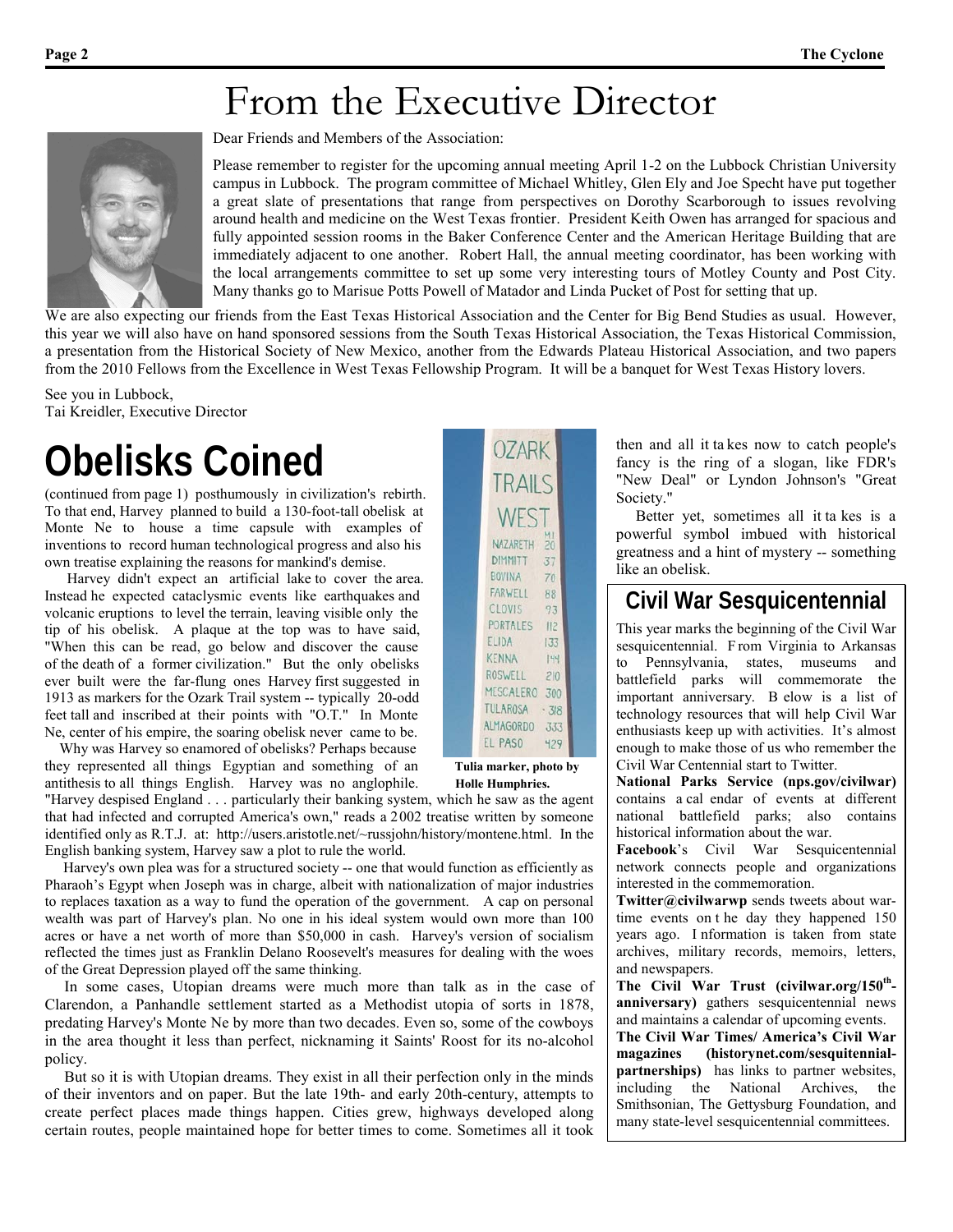## From the Executive Director



Dear Friends and Members of the Association:

Please remember to register for the upcoming annual meeting April 1-2 on the Lubbock Christian University campus in Lubbock. The program committee of Michael Whitley, Glen Ely and Joe Specht have put together a great slate of presentations that range from perspectives on Dorothy Scarborough to issues revolving around health and medicine on the West Texas frontier. President Keith Owen has arranged for spacious and fully appointed session rooms in the Baker Conference Center and the American Heritage Building that are immediately adjacent to one another. Robert Hall, the annual meeting coordinator, has been working with the local arrangements committee to set up some very interesting tours of Motley County and Post City. Many thanks go to Marisue Potts Powell of Matador and Linda Pucket of Post for setting that up.

We are also expecting our friends from the East Texas Historical Association and the Center for Big Bend Studies as usual. However, this year we will also have on hand sponsored sessions from the South Texas Historical Association, the Texas Historical Commission, a presentation from the Historical Society of New Mexico, another from the Edwards Plateau Historical Association, and two papers from the 2010 Fellows from the Excellence in West Texas Fellowship Program. It will be a banquet for West Texas History lovers.

See you in Lubbock, Tai Kreidler, Executive Director

# **Obelisks Coined**

(continued from page 1) posthumously in civilization's rebirth. To that end, Harvey planned to build a 130-foot-tall obelisk at Monte Ne to house a time capsule with examples of inventions to record human technological progress and also his own treatise explaining the reasons for mankind's demise.

 Harvey didn't expect an artificial lake to cover the area. Instead he expected cataclysmic events like earthquakes and volcanic eruptions to level the terrain, leaving visible only the tip of his obelisk. A plaque at the top was to have said, "When this can be read, go below and discover the cause of the death of a former civilization." But the only obelisks ever built were the far-flung ones Harvey first suggested in 1913 as markers for the Ozark Trail system -- typically 20-odd feet tall and inscribed at their points with "O.T." In Monte Ne, center of his empire, the soaring obelisk never came to be.

 Why was Harvey so enamored of obelisks? Perhaps because they represented all things Egyptian and something of an **Tulia marker, photo by** antithesis to all things English. Harvey was no anglophile. **Holle Humphries.** 

"Harvey despised England . . . particularly their banking system, which he saw as the agent that had infected and corrupted America's own," reads a 2002 treatise written by someone identified only as R.T.J. at: http://users.aristotle.net/~russjohn/history/montene.html. In the English banking system, Harvey saw a plot to rule the world.

 Harvey's own plea was for a structured society -- one that would function as efficiently as Pharaoh's Egypt when Joseph was in charge, albeit with nationalization of major industries to replaces taxation as a way to fund the operation of the government. A cap on personal wealth was part of Harvey's plan. No one in his ideal system would own more than 100 acres or have a net worth of more than \$50,000 in cash. Harvey's version of socialism reflected the times just as Franklin Delano Roosevelt's measures for dealing with the woes of the Great Depression played off the same thinking.

 In some cases, Utopian dreams were much more than talk as in the case of Clarendon, a Panhandle settlement started as a Methodist utopia of sorts in 1878, predating Harvey's Monte Ne by more than two decades. Even so, some of the cowboys in the area thought it less than perfect, nicknaming it Saints' Roost for its no-alcohol policy.

 But so it is with Utopian dreams. They exist in all their perfection only in the minds of their inventors and on paper. But the late 19th- and early 20th-century, attempts to create perfect places made things happen. Cities grew, highways developed along certain routes, people maintained hope for better times to come. Sometimes all it took

| <b>OZARK</b>                 |     |  |
|------------------------------|-----|--|
| TRAILS                       |     |  |
| WEST                         |     |  |
| NAZARETH <sub>20</sub>       |     |  |
| DIMMITT 37<br>BOVINA 70      |     |  |
| FARWELL 88                   |     |  |
| CLOVIS 93<br>PORTALES 112    |     |  |
| ELIDA                        | 133 |  |
| <b>KENNA</b>                 | 44  |  |
| ROSWELL 210<br>MESCALERO 300 |     |  |
| TULAROSA · 3/8               |     |  |
| ALMAGORDO 333                |     |  |
| EL PASO                      | 429 |  |

then and all it ta kes now to catch people's fancy is the ring of a slogan, like FDR's "New Deal" or Lyndon Johnson's "Great Society."

 Better yet, sometimes all it ta kes is a powerful symbol imbued with historical greatness and a hint of mystery -- something like an obelisk.

### **Civil War Sesquicentennial**

This year marks the beginning of the Civil War sesquicentennial. F rom Virginia to Arkansas to Pennsylvania, states, museums and battlefield parks will commemorate the important anniversary. B elow is a list of technology resources that will help Civil War enthusiasts keep up with activities. It's almost enough to make those of us who remember the Civil War Centennial start to Twitter.

**National Parks Service (nps.gov/civilwar)**  contains a cal endar of events at different national battlefield parks; also contains historical information about the war.

**Facebook**'s Civil War Sesquicentennial network connects people and organizations interested in the commemoration.

**Twitter@civilwarwp** sends tweets about wartime events on t he day they happened 150 years ago. I nformation is taken from state archives, military records, memoirs, letters, and newspapers.

The Civil War Trust (civilwar.org/150<sup>th</sup>**anniversary)** gathers sesquicentennial news and maintains a calendar of upcoming events.

**The Civil War Times/ America's Civil War magazines (historynet.com/sesquitennialpartnerships)** has links to partner websites, including the National Archives, the Smithsonian, The Gettysburg Foundation, and many state-level sesquicentennial committees.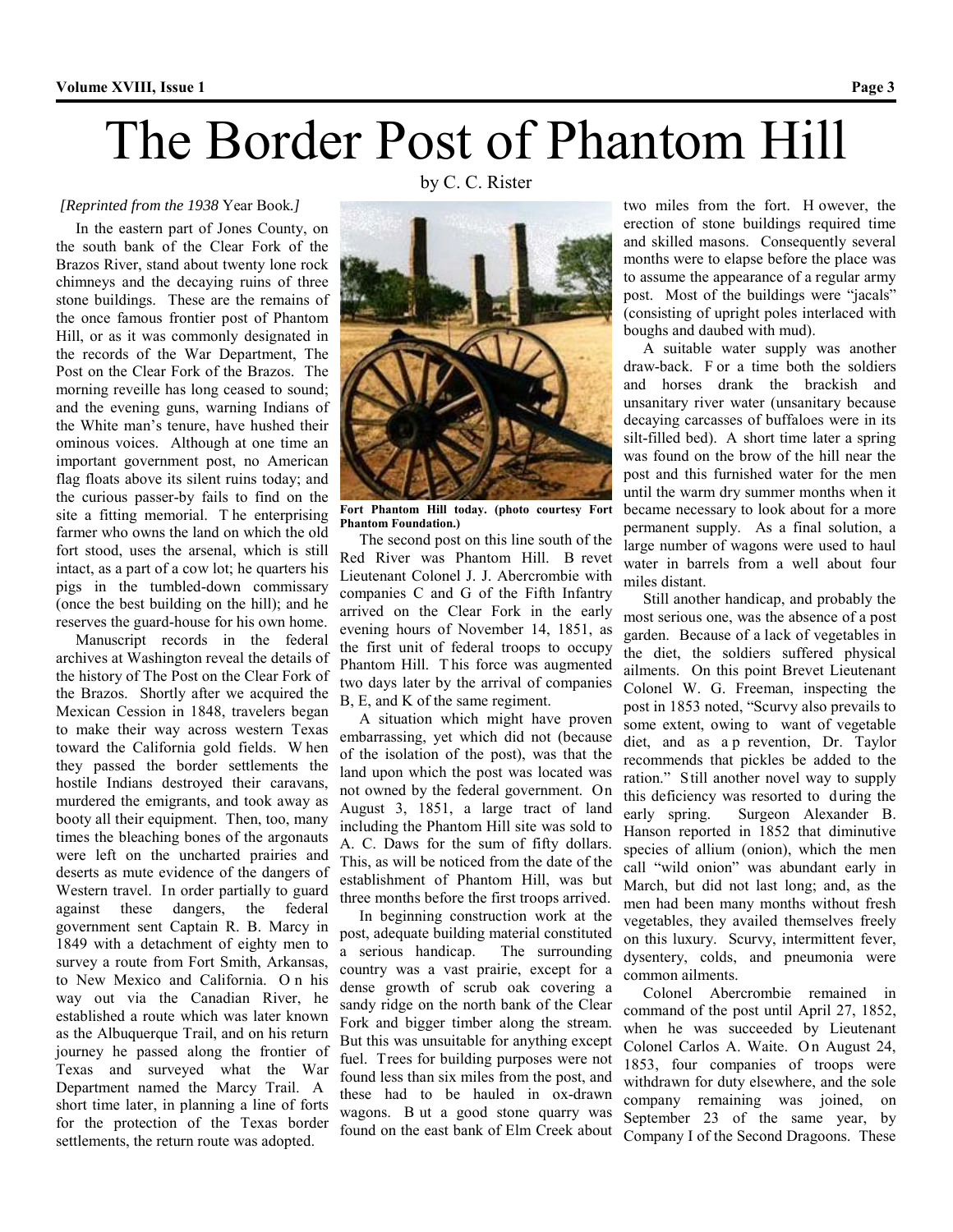# The Border Post of Phantom Hill

#### *[Reprinted from the 1938* Year Book*.]*

 In the eastern part of Jones County, on the south bank of the Clear Fork of the Brazos River, stand about twenty lone rock chimneys and the decaying ruins of three stone buildings. These are the remains of the once famous frontier post of Phantom Hill, or as it was commonly designated in the records of the War Department, The Post on the Clear Fork of the Brazos. The morning reveille has long ceased to sound; and the evening guns, warning Indians of the White man's tenure, have hushed their ominous voices. Although at one time an important government post, no American flag floats above its silent ruins today; and the curious passer-by fails to find on the site a fitting memorial. T he enterprising farmer who owns the land on which the old fort stood, uses the arsenal, which is still intact, as a part of a cow lot; he quarters his pigs in the tumbled-down commissary (once the best building on the hill); and he reserves the guard-house for his own home.

 Manuscript records in the federal archives at Washington reveal the details of the history of The Post on the Clear Fork of the Brazos. Shortly after we acquired the Mexican Cession in 1848, travelers began to make their way across western Texas toward the California gold fields. W hen they passed the border settlements the hostile Indians destroyed their caravans, murdered the emigrants, and took away as booty all their equipment. Then, too, many times the bleaching bones of the argonauts were left on the uncharted prairies and deserts as mute evidence of the dangers of Western travel. In order partially to guard against these dangers, the federal government sent Captain R. B. Marcy in 1849 with a detachment of eighty men to survey a route from Fort Smith, Arkansas, to New Mexico and California. O n his way out via the Canadian River, he established a route which was later known as the Albuquerque Trail, and on his return journey he passed along the frontier of Texas and surveyed what the War Department named the Marcy Trail. A short time later, in planning a line of forts for the protection of the Texas border settlements, the return route was adopted.

by C. C. Rister



**Fort Phantom Hill today. (photo courtesy Fort Phantom Foundation.)**

 The second post on this line south of the Red River was Phantom Hill. B revet Lieutenant Colonel J. J. Abercrombie with companies C and G of the Fifth Infantry arrived on the Clear Fork in the early evening hours of November 14, 1851, as the first unit of federal troops to occupy Phantom Hill. T his force was augmented two days later by the arrival of companies B, E, and K of the same regiment.

 A situation which might have proven embarrassing, yet which did not (because of the isolation of the post), was that the land upon which the post was located was not owned by the federal government. On August 3, 1851, a large tract of land including the Phantom Hill site was sold to A. C. Daws for the sum of fifty dollars. This, as will be noticed from the date of the establishment of Phantom Hill, was but three months before the first troops arrived.

 In beginning construction work at the post, adequate building material constituted a serious handicap. The surrounding country was a vast prairie, except for a dense growth of scrub oak covering a sandy ridge on the north bank of the Clear Fork and bigger timber along the stream. But this was unsuitable for anything except fuel. Trees for building purposes were not found less than six miles from the post, and these had to be hauled in ox-drawn wagons. B ut a good stone quarry was found on the east bank of Elm Creek about

two miles from the fort. H owever, the erection of stone buildings required time and skilled masons. Consequently several months were to elapse before the place was to assume the appearance of a regular army post. Most of the buildings were "jacals" (consisting of upright poles interlaced with boughs and daubed with mud).

 A suitable water supply was another draw-back. F or a time both the soldiers and horses drank the brackish and unsanitary river water (unsanitary because decaying carcasses of buffaloes were in its silt-filled bed). A short time later a spring was found on the brow of the hill near the post and this furnished water for the men until the warm dry summer months when it became necessary to look about for a more permanent supply. As a final solution, a large number of wagons were used to haul water in barrels from a well about four miles distant.

 Still another handicap, and probably the most serious one, was the absence of a post garden. Because of a lack of vegetables in the diet, the soldiers suffered physical ailments. On this point Brevet Lieutenant Colonel W. G. Freeman, inspecting the post in 1853 noted, "Scurvy also prevails to some extent, owing to want of vegetable diet, and as a p revention, Dr. Taylor recommends that pickles be added to the ration." Still another novel way to supply this deficiency was resorted to during the early spring. Surgeon Alexander B. Hanson reported in 1852 that diminutive species of allium (onion), which the men call "wild onion" was abundant early in March, but did not last long; and, as the men had been many months without fresh vegetables, they availed themselves freely on this luxury. Scurvy, intermittent fever, dysentery, colds, and pneumonia were common ailments.

 Colonel Abercrombie remained in command of the post until April 27, 1852, when he was succeeded by Lieutenant Colonel Carlos A. Waite. On August 24, 1853, four companies of troops were withdrawn for duty elsewhere, and the sole company remaining was joined, on September 23 of the same year, by Company I of the Second Dragoons. These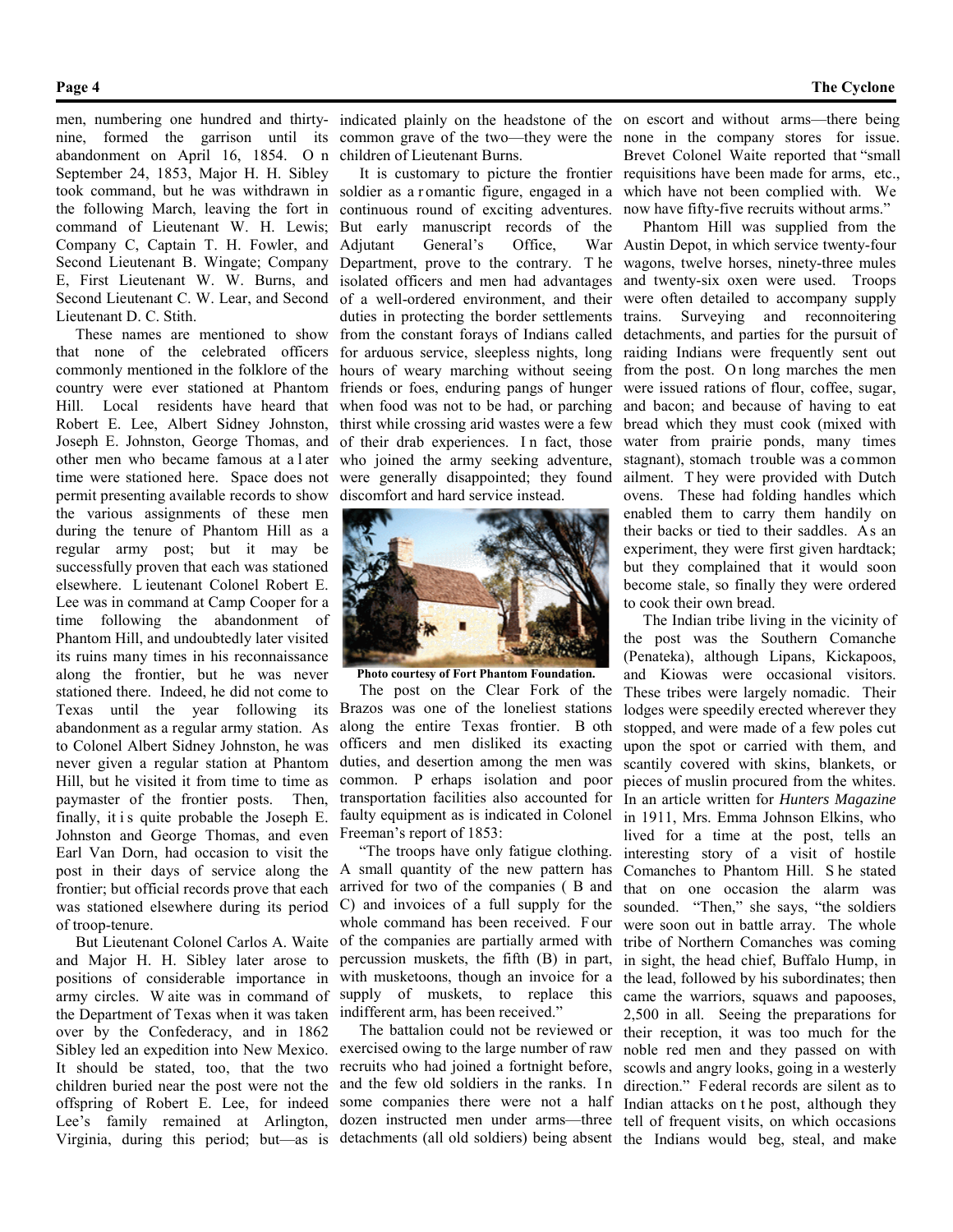#### **Page 4 The Cyclone**

men, numbering one hundred and thirty-indicated plainly on the headstone of the on escort and without arms—there being abandonment on April 16, 1854. O n children of Lieutenant Burns. September 24, 1853, Major H. H. Sibley took command, but he was withdrawn in soldier as a r omantic figure, engaged in a the following March, leaving the fort in continuous round of exciting adventures. command of Lieutenant W. H. Lewis; Company C, Captain T. H. Fowler, and Second Lieutenant B. Wingate; Company E, First Lieutenant W. W. Burns, and Second Lieutenant C. W. Lear, and Second Lieutenant D. C. Stith.

 These names are mentioned to show that none of the celebrated officers commonly mentioned in the folklore of the country were ever stationed at Phantom Hill. Local residents have heard that Robert E. Lee, Albert Sidney Johnston, Joseph E. Johnston, George Thomas, and other men who became famous at a l ater time were stationed here. Space does not permit presenting available records to show the various assignments of these men during the tenure of Phantom Hill as a regular army post; but it may be successfully proven that each was stationed elsewhere. L ieutenant Colonel Robert E. Lee was in command at Camp Cooper for a time following the abandonment of Phantom Hill, and undoubtedly later visited its ruins many times in his reconnaissance along the frontier, but he was never stationed there. Indeed, he did not come to Texas until the year following its abandonment as a regular army station. As to Colonel Albert Sidney Johnston, he was never given a regular station at Phantom Hill, but he visited it from time to time as paymaster of the frontier posts. Then, finally, it is quite probable the Joseph E. Johnston and George Thomas, and even Earl Van Dorn, had occasion to visit the post in their days of service along the frontier; but official records prove that each was stationed elsewhere during its period of troop-tenure.

 But Lieutenant Colonel Carlos A. Waite and Major H. H. Sibley later arose to positions of considerable importance in army circles. W aite was in command of the Department of Texas when it was taken over by the Confederacy, and in 1862 Sibley led an expedition into New Mexico. It should be stated, too, that the two children buried near the post were not the offspring of Robert E. Lee, for indeed some companies there were not a half Lee's family remained at Arlington, Virginia, during this period; but—as is detachments (all old soldiers) being absent the Indians would beg, steal, and make

But early manuscript records of the Adjutant General's Office, Department, prove to the contrary. T he isolated officers and men had advantages of a well-ordered environment, and their duties in protecting the border settlements trains. Surveying and reconnoitering from the constant forays of Indians called for arduous service, sleepless nights, long hours of weary marching without seeing friends or foes, enduring pangs of hunger when food was not to be had, or parching thirst while crossing arid wastes were a few of their drab experiences. In fact, those who joined the army seeking adventure, were generally disappointed; they found discomfort and hard service instead.



**Photo courtesy of Fort Phantom Foundation.**

 The post on the Clear Fork of the Brazos was one of the loneliest stations along the entire Texas frontier. B oth officers and men disliked its exacting duties, and desertion among the men was common. P erhaps isolation and poor transportation facilities also accounted for faulty equipment as is indicated in Colonel Freeman's report of 1853:

 "The troops have only fatigue clothing. A small quantity of the new pattern has arrived for two of the companies ( B and C) and invoices of a full supply for the whole command has been received. F our of the companies are partially armed with percussion muskets, the fifth (B) in part, with musketoons, though an invoice for a supply of muskets, to replace this indifferent arm, has been received."

 The battalion could not be reviewed or exercised owing to the large number of raw recruits who had joined a fortnight before, and the few old soldiers in the ranks. In dozen instructed men under arms—three

nine, formed the garrison until its common grave of the two—they were the none in the company stores for issue. It is customary to picture the frontier requisitions have been made for arms, etc., Brevet Colonel Waite reported that "small which have not been complied with. We now have fifty-five recruits without arms."

> Phantom Hill was supplied from the Austin Depot, in which service twenty-four wagons, twelve horses, ninety-three mules and twenty-six oxen were used. Troops were often detailed to accompany supply detachments, and parties for the pursuit of raiding Indians were frequently sent out from the post. O n long marches the men were issued rations of flour, coffee, sugar, and bacon; and because of having to eat bread which they must cook (mixed with water from prairie ponds, many times stagnant), stomach trouble was a common ailment. T hey were provided with Dutch ovens. These had folding handles which enabled them to carry them handily on their backs or tied to their saddles. As an experiment, they were first given hardtack; but they complained that it would soon become stale, so finally they were ordered to cook their own bread.

> > The Indian tribe living in the vicinity of the post was the Southern Comanche (Penateka), although Lipans, Kickapoos, and Kiowas were occasional visitors. These tribes were largely nomadic. Their lodges were speedily erected wherever they stopped, and were made of a few poles cut upon the spot or carried with them, and scantily covered with skins, blankets, or pieces of muslin procured from the whites. In an article written for *Hunters Magazine* in 1911, Mrs. Emma Johnson Elkins, who lived for a time at the post, tells an interesting story of a visit of hostile Comanches to Phantom Hill. S he stated that on one occasion the alarm was sounded. "Then," she says, "the soldiers were soon out in battle array. The whole tribe of Northern Comanches was coming in sight, the head chief, Buffalo Hump, in the lead, followed by his subordinates; then came the warriors, squaws and papooses, 2,500 in all. Seeing the preparations for their reception, it was too much for the noble red men and they passed on with scowls and angry looks, going in a westerly direction." Federal records are silent as to Indian attacks on t he post, although they tell of frequent visits, on which occasions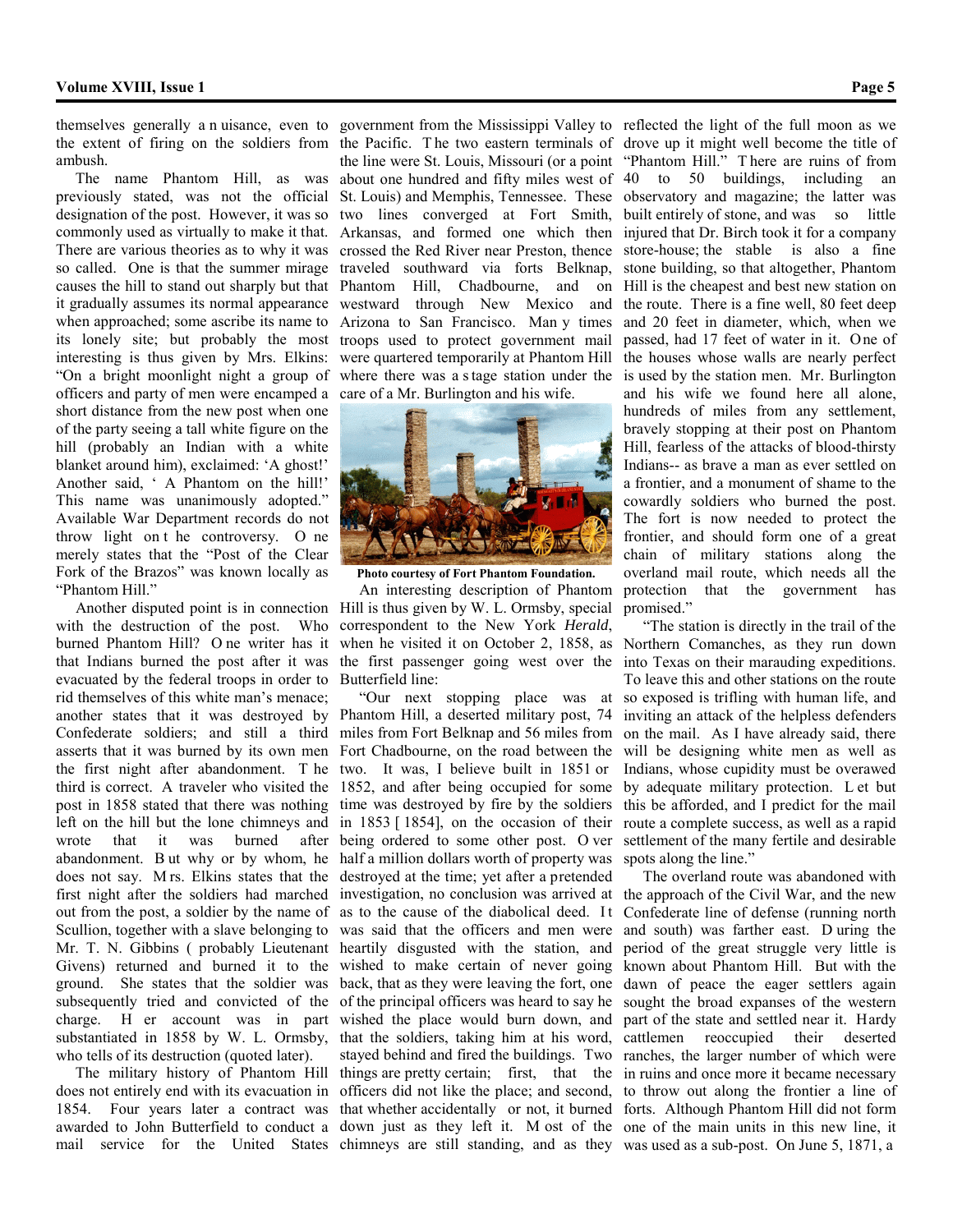ambush.

 The name Phantom Hill, as was previously stated, was not the official designation of the post. However, it was so commonly used as virtually to make it that. There are various theories as to why it was crossed the Red River near Preston, thence so called. One is that the summer mirage causes the hill to stand out sharply but that it gradually assumes its normal appearance when approached; some ascribe its name to its lonely site; but probably the most interesting is thus given by Mrs. Elkins: "On a bright moonlight night a group of officers and party of men were encamped a short distance from the new post when one of the party seeing a tall white figure on the hill (probably an Indian with a white blanket around him), exclaimed: 'A ghost!' Another said, ' A Phantom on the hill!' This name was unanimously adopted." Available War Department records do not throw light on t he controversy. O ne merely states that the "Post of the Clear Fork of the Brazos" was known locally as "Phantom Hill."

 Another disputed point is in connection with the destruction of the post. Who burned Phantom Hill? O ne writer has it that Indians burned the post after it was evacuated by the federal troops in order to rid themselves of this white man's menace; another states that it was destroyed by Confederate soldiers; and still a third miles from Fort Belknap and 56 miles from asserts that it was burned by its own men the first night after abandonment. T he two. It was, I believe built in 1851 or third is correct. A traveler who visited the post in 1858 stated that there was nothing left on the hill but the lone chimneys and wrote that it was burned after being ordered to some other post. O ver abandonment. B ut why or by whom, he does not say. M rs. Elkins states that the first night after the soldiers had marched out from the post, a soldier by the name of Scullion, together with a slave belonging to Mr. T. N. Gibbins ( probably Lieutenant Givens) returned and burned it to the ground. She states that the soldier was subsequently tried and convicted of the charge. H er account was in part substantiated in 1858 by W. L. Ormsby, who tells of its destruction (quoted later).

 The military history of Phantom Hill does not entirely end with its evacuation in 1854. Four years later a contract was awarded to John Butterfield to conduct a mail service for the United States

the extent of firing on the soldiers from the Pacific. T he two eastern terminals of the line were St. Louis, Missouri (or a point about one hundred and fifty miles west of St. Louis) and Memphis, Tennessee. These two lines converged at Fort Smith, Arkansas, and formed one which then traveled southward via forts Belknap, Phantom Hill, Chadbourne, and on westward through New Mexico and Arizona to San Francisco. Man y times troops used to protect government mail were quartered temporarily at Phantom Hill where there was a s tage station under the care of a Mr. Burlington and his wife.



**Photo courtesy of Fort Phantom Foundation.**

 An interesting description of Phantom Hill is thus given by W. L. Ormsby, special correspondent to the New York *Herald*, the first passenger going west over the Butterfield line:

 "Our next stopping place was at Phantom Hill, a deserted military post, 74 Fort Chadbourne, on the road between the 1852, and after being occupied for some time was destroyed by fire by the soldiers in 1853 [ 1854], on the occasion of their half a million dollars worth of property was destroyed at the time; yet after a pretended investigation, no conclusion was arrived at as to the cause of the diabolical deed. It was said that the officers and men were heartily disgusted with the station, and wished to make certain of never going back, that as they were leaving the fort, one of the principal officers was heard to say he wished the place would burn down, and that the soldiers, taking him at his word, stayed behind and fired the buildings. Two things are pretty certain; first, that the in ruins and once more it became necessary officers did not like the place; and second, that whether accidentally or not, it burned down just as they left it. M ost of the one of the main units in this new line, it

themselves generally a n uisance, even to government from the Mississippi Valley to reflected the light of the full moon as we drove up it might well become the title of "Phantom Hill." T here are ruins of from 40 to 50 buildings, including an observatory and magazine; the latter was built entirely of stone, and was so little injured that Dr. Birch took it for a company store-house; the stable is also a fine stone building, so that altogether, Phantom Hill is the cheapest and best new station on the route. There is a fine well, 80 feet deep and 20 feet in diameter, which, when we passed, had 17 feet of water in it. One of the houses whose walls are nearly perfect is used by the station men. Mr. Burlington and his wife we found here all alone, hundreds of miles from any settlement, bravely stopping at their post on Phantom Hill, fearless of the attacks of blood-thirsty Indians-- as brave a man as ever settled on a frontier, and a monument of shame to the cowardly soldiers who burned the post. The fort is now needed to protect the frontier, and should form one of a great chain of military stations along the overland mail route, which needs all the protection that the government has promised."

when he visited it on October 2, 1858, as Northern Comanches, as they run down "The station is directly in the trail of the into Texas on their marauding expeditions. To leave this and other stations on the route so exposed is trifling with human life, and inviting an attack of the helpless defenders on the mail. As I have already said, there will be designing white men as well as Indians, whose cupidity must be overawed by adequate military protection. L et but this be afforded, and I predict for the mail route a complete success, as well as a rapid settlement of the many fertile and desirable spots along the line."

chimneys are still standing, and as they was used as a sub-post. On June 5, 1871, a The overland route was abandoned with the approach of the Civil War, and the new Confederate line of defense (running north and south) was farther east. D uring the period of the great struggle very little is known about Phantom Hill. But with the dawn of peace the eager settlers again sought the broad expanses of the western part of the state and settled near it. Hardy cattlemen reoccupied their deserted ranches, the larger number of which were to throw out along the frontier a line of forts. Although Phantom Hill did not form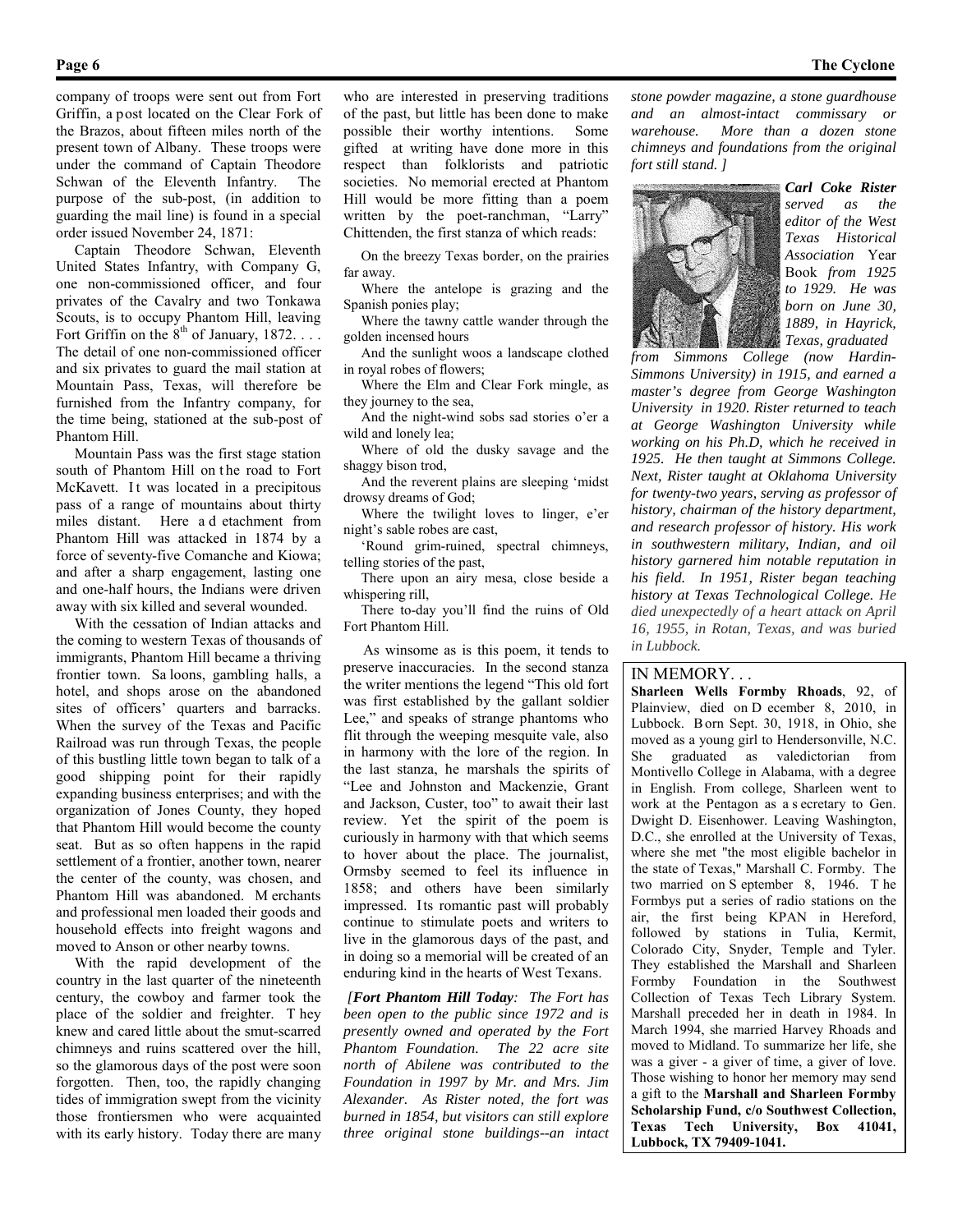company of troops were sent out from Fort Griffin, a post located on the Clear Fork of the Brazos, about fifteen miles north of the present town of Albany. These troops were under the command of Captain Theodore Schwan of the Eleventh Infantry. The purpose of the sub-post, (in addition to guarding the mail line) is found in a special order issued November 24, 1871:

 Captain Theodore Schwan, Eleventh United States Infantry, with Company G, one non-commissioned officer, and four privates of the Cavalry and two Tonkawa Scouts, is to occupy Phantom Hill, leaving Fort Griffin on the  $8<sup>th</sup>$  of January, 1872. . . . The detail of one non-commissioned officer and six privates to guard the mail station at Mountain Pass, Texas, will therefore be furnished from the Infantry company, for the time being, stationed at the sub-post of Phantom Hill.

 Mountain Pass was the first stage station south of Phantom Hill on the road to Fort McKavett. It was located in a precipitous pass of a range of mountains about thirty miles distant. Here a d etachment from Phantom Hill was attacked in 1874 by a force of seventy-five Comanche and Kiowa; and after a sharp engagement, lasting one and one-half hours, the Indians were driven away with six killed and several wounded.

 With the cessation of Indian attacks and the coming to western Texas of thousands of immigrants, Phantom Hill became a thriving frontier town. Sa loons, gambling halls, a hotel, and shops arose on the abandoned sites of officers' quarters and barracks. When the survey of the Texas and Pacific Railroad was run through Texas, the people of this bustling little town began to talk of a good shipping point for their rapidly expanding business enterprises; and with the organization of Jones County, they hoped that Phantom Hill would become the county seat. But as so often happens in the rapid settlement of a frontier, another town, nearer the center of the county, was chosen, and Phantom Hill was abandoned. M erchants and professional men loaded their goods and household effects into freight wagons and moved to Anson or other nearby towns.

 With the rapid development of the country in the last quarter of the nineteenth century, the cowboy and farmer took the place of the soldier and freighter. T hey knew and cared little about the smut-scarred chimneys and ruins scattered over the hill, so the glamorous days of the post were soon forgotten. Then, too, the rapidly changing tides of immigration swept from the vicinity those frontiersmen who were acquainted with its early history. Today there are many who are interested in preserving traditions of the past, but little has been done to make possible their worthy intentions. Some gifted at writing have done more in this respect than folklorists and patriotic societies. No memorial erected at Phantom Hill would be more fitting than a poem written by the poet-ranchman, "Larry" Chittenden, the first stanza of which reads:

 On the breezy Texas border, on the prairies far away.

 Where the antelope is grazing and the Spanish ponies play;

 Where the tawny cattle wander through the golden incensed hours

 And the sunlight woos a landscape clothed in royal robes of flowers;

 Where the Elm and Clear Fork mingle, as they journey to the sea,

 And the night-wind sobs sad stories o'er a wild and lonely lea;

 Where of old the dusky savage and the shaggy bison trod,

 And the reverent plains are sleeping 'midst drowsy dreams of God;

 Where the twilight loves to linger, e'er night's sable robes are cast,

 'Round grim-ruined, spectral chimneys, telling stories of the past,

 There upon an airy mesa, close beside a whispering rill,

 There to-day you'll find the ruins of Old Fort Phantom Hill.

 As winsome as is this poem, it tends to preserve inaccuracies. In the second stanza the writer mentions the legend "This old fort was first established by the gallant soldier Lee," and speaks of strange phantoms who flit through the weeping mesquite vale, also in harmony with the lore of the region. In the last stanza, he marshals the spirits of "Lee and Johnston and Mackenzie, Grant and Jackson, Custer, too" to await their last review. Yet the spirit of the poem is curiously in harmony with that which seems to hover about the place. The journalist, Ormsby seemed to feel its influence in 1858; and others have been similarly impressed. Its romantic past will probably continue to stimulate poets and writers to live in the glamorous days of the past, and in doing so a memorial will be created of an enduring kind in the hearts of West Texans.

*[Fort Phantom Hill Today: The Fort has been open to the public since 1972 and is presently owned and operated by the Fort Phantom Foundation. The 22 acre site north of Abilene was contributed to the Foundation in 1997 by Mr. and Mrs. Jim Alexander. As Rister noted, the fort was burned in 1854, but visitors can still explore three original stone buildings--an intact* 

*stone powder magazine, a stone guardhouse and an almost-intact commissary or warehouse. More than a dozen stone chimneys and foundations from the original fort still stand. ]*



*Carl Coke Rister served as the editor of the West Texas Historical Association* Year Book *from 1925 to 1929. He was born on June 30, 1889, in Hayrick, Texas, graduated* 

*from Simmons College (now Hardin-Simmons University) in 1915, and earned a master's degree from George Washington University in 1920. Rister returned to teach at George Washington University while working on his Ph.D, which he received in 1925. He then taught at Simmons College. Next, Rister taught at Oklahoma University for twenty-two years, serving as professor of history, chairman of the history department, and research professor of history. His work in southwestern military, Indian, and oil history garnered him notable reputation in his field. In 1951, Rister began teaching history at Texas Technological College. He died unexpectedly of a heart attack on April 16, 1955, in Rotan, Texas, and was buried in Lubbock.*

#### IN MEMORY. . .

**Sharleen Wells Formby Rhoads**, 92, of Plainview, died on D ecember 8, 2010, in Lubbock. B orn Sept. 30, 1918, in Ohio, she moved as a young girl to Hendersonville, N.C. She graduated as valedictorian from Montivello College in Alabama, with a degree in English. From college, Sharleen went to work at the Pentagon as a s ecretary to Gen. Dwight D. Eisenhower. Leaving Washington, D.C., she enrolled at the University of Texas, where she met "the most eligible bachelor in the state of Texas," Marshall C. Formby. The two married on S eptember 8, 1946. T he Formbys put a series of radio stations on the air, the first being KPAN in Hereford, followed by stations in Tulia, Kermit, Colorado City, Snyder, Temple and Tyler. They established the Marshall and Sharleen Formby Foundation in the Southwest Collection of Texas Tech Library System. Marshall preceded her in death in 1984. In March 1994, she married Harvey Rhoads and moved to Midland. To summarize her life, she was a giver - a giver of time, a giver of love. Those wishing to honor her memory may send a gift to the **Marshall and Sharleen Formby Scholarship Fund, c/o Southwest Collection, Texas Tech University, Box 41041, Lubbock, TX 79409-1041.**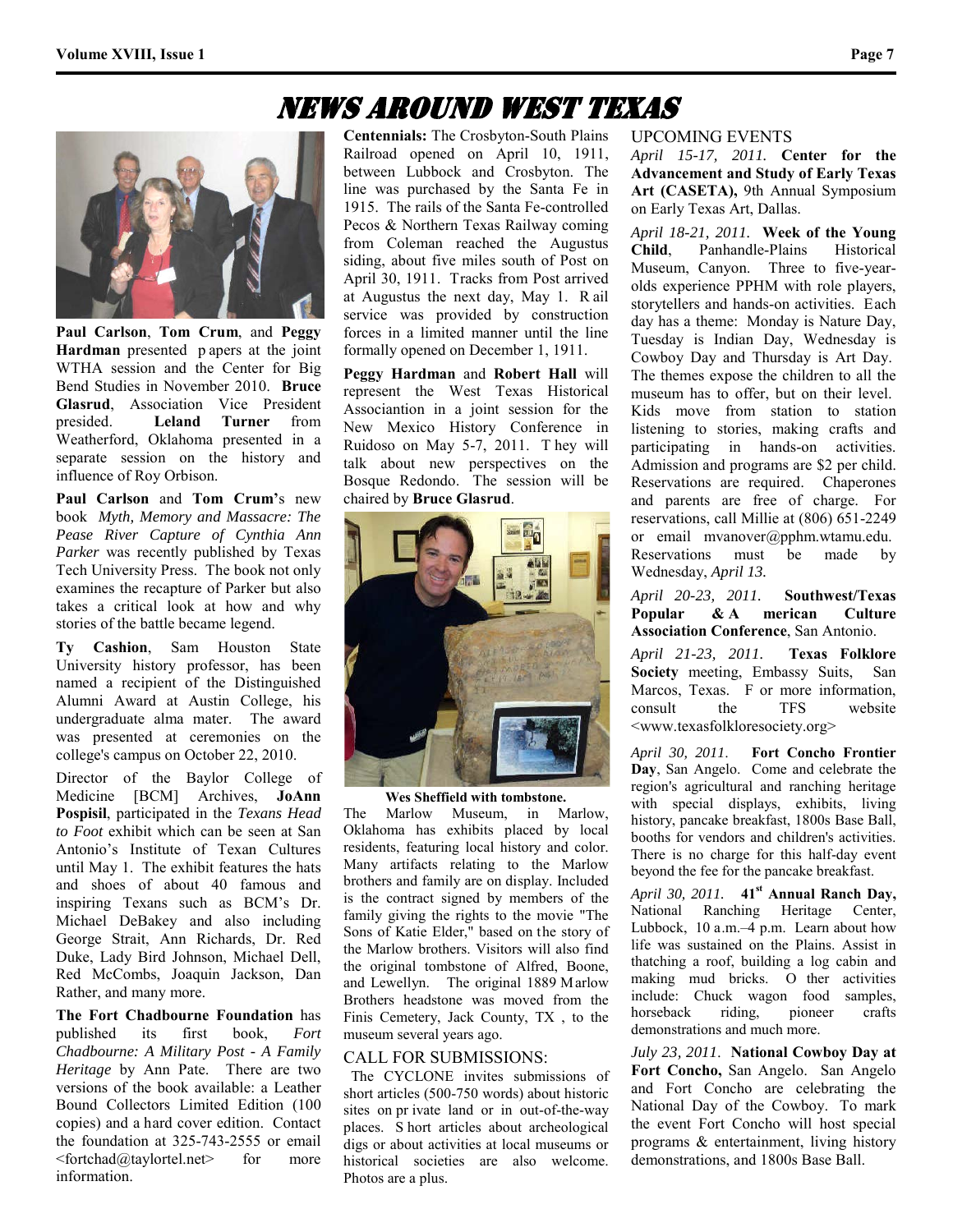### News Around West Texas



**Paul Carlson**, **Tom Crum**, and **Peggy Hardman** presented p apers at the joint WTHA session and the Center for Big Bend Studies in November 2010. **Bruce Glasrud**, Association Vice President presided. **Leland Turner** from Weatherford, Oklahoma presented in a separate session on the history and influence of Roy Orbison.

**Paul Carlson** and **Tom Crum'**s new book *Myth, Memory and Massacre: The Pease River Capture of Cynthia Ann Parker* was recently published by Texas Tech University Press. The book not only examines the recapture of Parker but also takes a critical look at how and why stories of the battle became legend.

**Ty Cashion**, Sam Houston State University history professor, has been named a recipient of the Distinguished Alumni Award at Austin College, his undergraduate alma mater. The award was presented at ceremonies on the college's campus on October 22, 2010.

Director of the Baylor College of Medicine [BCM] Archives, **JoAnn Pospisil**, participated in the *Texans Head to Foot* exhibit which can be seen at San Antonio's Institute of Texan Cultures until May 1. The exhibit features the hats and shoes of about 40 famous and inspiring Texans such as BCM's Dr. Michael DeBakey and also including George Strait, Ann Richards, Dr. Red Duke, Lady Bird Johnson, Michael Dell, Red McCombs, Joaquin Jackson, Dan Rather, and many more.

**The Fort Chadbourne Foundation** has published its first book, *Fort Chadbourne: A Military Post - A Family Heritage* by Ann Pate. There are two versions of the book available: a Leather Bound Collectors Limited Edition (100 copies) and a hard cover edition. Contact the foundation at 325-743-2555 or email  $\forall$ fortchad@taylortel.net $\triangleright$  for more information.

**Centennials:** The Crosbyton-South Plains Railroad opened on April 10, 1911, between Lubbock and Crosbyton. The line was purchased by the Santa Fe in 1915. The rails of the Santa Fe-controlled Pecos & Northern Texas Railway coming from Coleman reached the Augustus siding, about five miles south of Post on April 30, 1911. Tracks from Post arrived at Augustus the next day, May 1. R ail service was provided by construction forces in a limited manner until the line formally opened on December 1, 1911.

**Peggy Hardman** and **Robert Hall** will represent the West Texas Historical Associantion in a joint session for the New Mexico History Conference in Ruidoso on May 5-7, 2011. T hey will talk about new perspectives on the Bosque Redondo. The session will be chaired by **Bruce Glasrud**.



**Wes Sheffield with tombstone.**

The Marlow Museum, in Marlow, Oklahoma has exhibits placed by local residents, featuring local history and color. Many artifacts relating to the Marlow brothers and family are on display. Included is the contract signed by members of the family giving the rights to the movie "The Sons of Katie Elder," based on the story of the Marlow brothers. Visitors will also find the original tombstone of Alfred, Boone, and Lewellyn. The original 1889 Marlow Brothers headstone was moved from the Finis Cemetery, Jack County, TX , to the museum several years ago.

#### CALL FOR SUBMISSIONS:

 The CYCLONE invites submissions of short articles (500-750 words) about historic sites on pr ivate land or in out-of-the-way places. S hort articles about archeological digs or about activities at local museums or historical societies are also welcome. Photos are a plus.

#### UPCOMING EVENTS

*April 15-17, 2011.* **Center for the Advancement and Study of Early Texas Art (CASETA),** 9th Annual Symposium on Early Texas Art, Dallas.

*April 18-21, 2011.* **Week of the Young Child**, Panhandle-Plains Historical Museum, Canyon. Three to five-yearolds experience PPHM with role players, storytellers and hands-on activities. Each day has a theme: Monday is Nature Day, Tuesday is Indian Day, Wednesday is Cowboy Day and Thursday is Art Day. The themes expose the children to all the museum has to offer, but on their level. Kids move from station to station listening to stories, making crafts and participating in hands-on activities. Admission and programs are \$2 per child. Reservations are required. Chaperones and parents are free of charge. For reservations, call Millie at (806) 651-2249 or email mvanover@pphm.wtamu.edu. Reservations must be made by Wednesday, *April 13.* 

*April 20-23, 2011.* **Southwest/Texas Popular & A merican Culture Association Conference**, San Antonio.

*April 21-23, 2011.* **Texas Folklore Society** meeting, Embassy Suits, San Marcos, Texas. F or more information, consult the TFS website <www.texasfolkloresociety.org>

*April 30, 2011*. **Fort Concho Frontier Day**, San Angelo. Come and celebrate the region's agricultural and ranching heritage with special displays, exhibits, living history, pancake breakfast, 1800s Base Ball, booths for vendors and children's activities. There is no charge for this half-day event beyond the fee for the pancake breakfast.

*April 30, 2011.* **41st Annual Ranch Day,**  National Ranching Heritage Center, Lubbock, 10 a.m.–4 p.m. Learn about how life was sustained on the Plains. Assist in thatching a roof, building a log cabin and making mud bricks. O ther activities include: Chuck wagon food samples, horseback riding, pioneer crafts demonstrations and much more.

*July 23, 2011*. **National Cowboy Day at Fort Concho,** San Angelo. San Angelo and Fort Concho are celebrating the National Day of the Cowboy. To mark the event Fort Concho will host special programs & entertainment, living history demonstrations, and 1800s Base Ball.